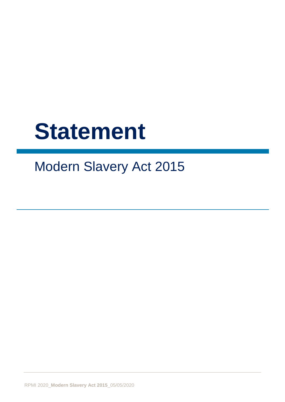# **Statement**

## Modern Slavery Act 2015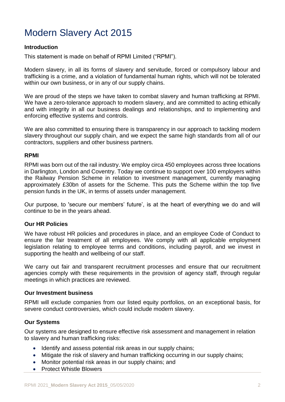### Modern Slavery Act 2015

#### **Introduction**

This statement is made on behalf of RPMI Limited ("RPMI").

Modern slavery, in all its forms of slavery and servitude, forced or compulsory labour and trafficking is a crime, and a violation of fundamental human rights, which will not be tolerated within our own business, or in any of our supply chains.

We are proud of the steps we have taken to combat slavery and human trafficking at RPMI. We have a zero-tolerance approach to modern slavery, and are committed to acting ethically and with integrity in all our business dealings and relationships, and to implementing and enforcing effective systems and controls.

We are also committed to ensuring there is transparency in our approach to tackling modern slavery throughout our supply chain, and we expect the same high standards from all of our contractors, suppliers and other business partners.

#### **RPMI**

RPMI was born out of the rail industry. We employ circa 450 employees across three locations in Darlington, London and Coventry. Today we continue to support over 100 employers within the Railway Pension Scheme in relation to investment management, currently managing approximately £30bn of assets for the Scheme. This puts the Scheme within the top five pension funds in the UK, in terms of assets under management.

Our purpose, to 'secure our members' future', is at the heart of everything we do and will continue to be in the years ahead.

#### **Our HR Policies**

We have robust HR policies and procedures in place, and an employee Code of Conduct to ensure the fair treatment of all employees. We comply with all applicable employment legislation relating to employee terms and conditions, including payroll, and we invest in supporting the health and wellbeing of our staff.

We carry out fair and transparent recruitment processes and ensure that our recruitment agencies comply with these requirements in the provision of agency staff, through regular meetings in which practices are reviewed.

#### **Our Investment business**

RPMI will exclude companies from our listed equity portfolios, on an exceptional basis, for severe conduct controversies, which could include modern slavery.

#### **Our Systems**

Our systems are designed to ensure effective risk assessment and management in relation to slavery and human trafficking risks:

- Identify and assess potential risk areas in our supply chains;
- Mitigate the risk of slavery and human trafficking occurring in our supply chains;
- Monitor potential risk areas in our supply chains; and
- Protect Whistle Blowers